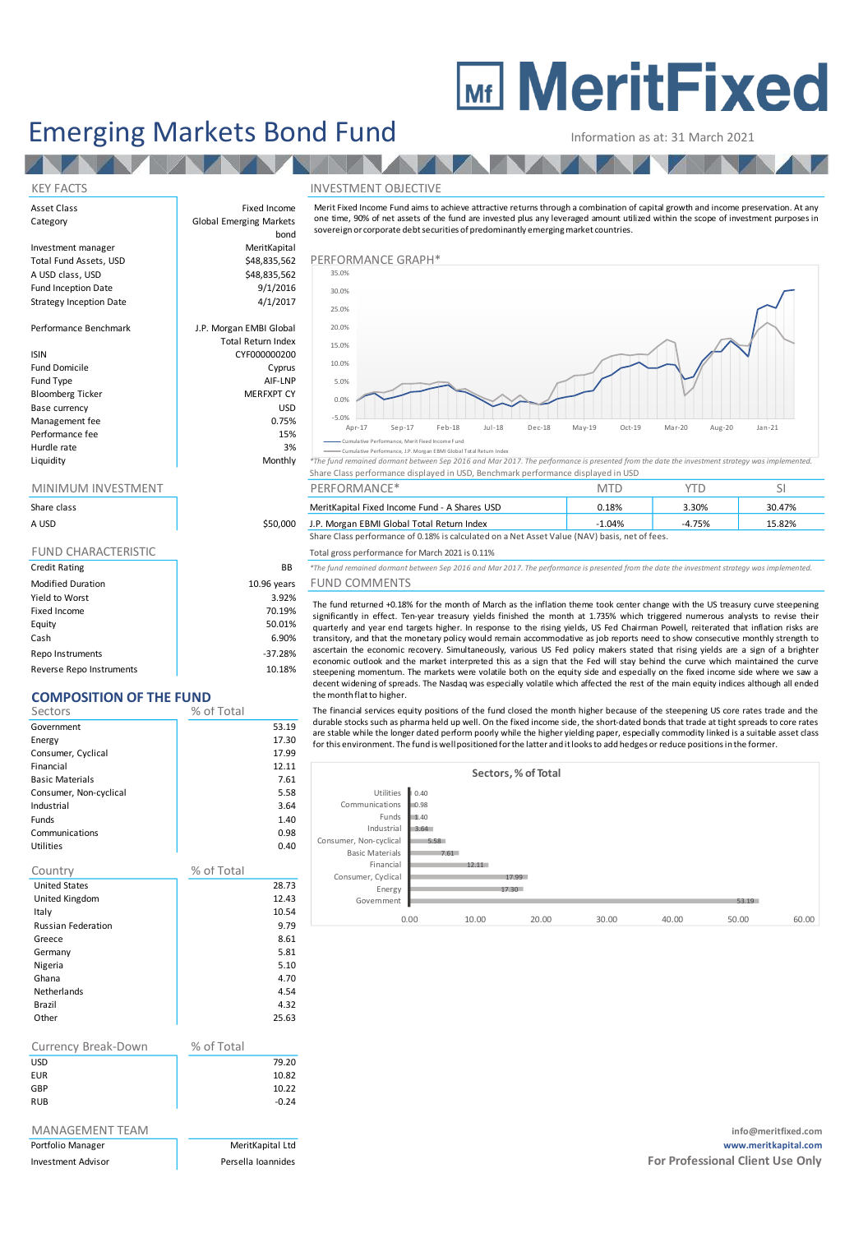# **MEDITY MeritFixed**

## Emerging Markets Bond Fund Information as at: 31 March 2021

#### KEY FACTS INVESTMENT OBJECTIVE

Merit Fixed Income Fund aims to achieve attractive returns through <sup>a</sup> combination of capital growth and income preservation. A t any one time, 90% of net assets of the fund are invested plus any leveraged amount utilized within the scope of investment purposes in sovereign or corporate debt securities of predominantly emerging market countries.



nce, J.P. Morgan EBMI G

Liquidity Monthly *\*The fund remained dormant between Sep 2016 and Mar 2017. The performance is presented from the date the investment strategy was implemented.* Share Class performance displayed in USD, Benchmark performance displayed in USD

| MINIMUM INVESTMENT |          | PERFORMANCE*                                                                                  |          |          |        |
|--------------------|----------|-----------------------------------------------------------------------------------------------|----------|----------|--------|
| Share class        |          | MeritKapital Fixed Income Fund - A Shares USD                                                 | 0.18%    | 3.30%    | 30.47% |
| A USD              | \$50,000 | J.P. Morgan EBMI Global Total Return Index                                                    | $-1.04%$ | $-4.75%$ | 15.82% |
|                    |          | Share Class performance of 0.18% is calculated on a Net Asset Value (NAV) basis, net of fees. |          |          |        |

Total gross performance for March 2021 is 0.11%

BB <sup>\*The fund remained dormant between Sep 2016 and Mar 2017. The performance is presented from the date the investment strategy was implemented</sup>

#### ears FUND COMMENTS

The fund returned +0.18% for the month of March as the inflation theme took center change with the US treasury curve steepening significantly in effect. Ten-year treasury yields finished the month at 1.735% which triggered numerous analysts to revise their quarterly and year end targets higher. In response to the rising yields, US Fed Chairman Powell, reiterated that inflation risks are transitory, and that the monetary policy would remain accommodative as job reports need to show consecutive monthly strength to ascertain the economic recovery. Simultaneously, various US Fed policy makers stated that rising yields are <sup>a</sup> sign of <sup>a</sup> brighter economic outlook and the market interpreted this as <sup>a</sup> sign that the Fed will stay behind the curve which maintained the curve steepening momentum. The markets were volatile both on the equity side and especially on the fixed income side where we saw a decent widening of spreads. The Nasdaq was especially volatile which affected the rest of the main equity indices although all ended the month flat to higher.

The financial services equity positions of the fund closed the month higher because of the steepening US core rates trade and the durable stocks such as pharma held up well. On the fixed income side, the short-dated bonds that trade at tight spreads to core rates are stable while the longer dated perform poorly while the higher yielding paper, especially commodity linked is a suitable asset class for this environment. The fund is well positioned for the latter and it looks to add hedges or reduce positions in the former.

|                        |      |       | Sectors, % of Total |       |       |       |       |
|------------------------|------|-------|---------------------|-------|-------|-------|-------|
| Utilities              | 0.40 |       |                     |       |       |       |       |
| Communications         | 0.98 |       |                     |       |       |       |       |
| Funds                  | 1.40 |       |                     |       |       |       |       |
| Industrial             | 3.64 |       |                     |       |       |       |       |
| Consumer, Non-cyclical | 5.58 |       |                     |       |       |       |       |
| <b>Basic Materials</b> | 7.61 |       |                     |       |       |       |       |
| Financial              |      | 12.11 |                     |       |       |       |       |
| Consumer, Cyclical     |      |       | 17.99               |       |       |       |       |
| Energy                 |      |       | 17.30               |       |       |       |       |
| Government             |      |       |                     |       |       | 53.19 |       |
|                        | 0.00 | 10.00 | 20.00               | 30.00 | 40.00 | 50.00 | 60.00 |
|                        |      |       |                     |       |       |       |       |

| Asset Class                    | Fixed Income                   | Merit Fixed Income Fund aims to                                                   |  |  |
|--------------------------------|--------------------------------|-----------------------------------------------------------------------------------|--|--|
| Category                       | <b>Global Emerging Markets</b> | one time, 90% of net assets of th                                                 |  |  |
|                                | bond                           | sovereign or corporate debt secu                                                  |  |  |
| Investment manager             | MeritKapital                   |                                                                                   |  |  |
| Total Fund Assets, USD         | \$48,835,562                   | PERFORMANCE GRAPH*                                                                |  |  |
| A USD class, USD               | \$48,835,562                   | 35.0%                                                                             |  |  |
| Fund Inception Date            | 9/1/2016                       | 30.0%                                                                             |  |  |
| <b>Strategy Inception Date</b> | 4/1/2017                       | 25.0%                                                                             |  |  |
|                                |                                |                                                                                   |  |  |
| Performance Benchmark          | J.P. Morgan EMBI Global        | 20.0%                                                                             |  |  |
|                                | <b>Total Return Index</b>      | 15.0%                                                                             |  |  |
| <b>ISIN</b>                    | CYF000000200                   |                                                                                   |  |  |
| <b>Fund Domicile</b>           | Cyprus                         | 10.0%                                                                             |  |  |
| Fund Type                      | AIF-LNP                        | 5.0%                                                                              |  |  |
| <b>Bloomberg Ticker</b>        | <b>MERFXPT CY</b>              | 0.0%                                                                              |  |  |
| Base currency                  | <b>USD</b>                     |                                                                                   |  |  |
| Management fee                 | 0.75%                          | $-5.0%$<br>$Sep-17$<br>Apr-17                                                     |  |  |
| Performance fee                | 15%                            |                                                                                   |  |  |
| Hurdle rate                    | 3%                             | Cumulative Performance, Merit Fixed Inc<br>Cumulative Performance, J.P. Morgan EB |  |  |
| Liquidity                      | Monthly                        | *The fund remained dormant between                                                |  |  |
|                                |                                | Share Class performance displaye                                                  |  |  |
|                                |                                |                                                                                   |  |  |

### MINIMUM INVESTMENT

| Share class                |             |
|----------------------------|-------------|
| A USD                      | \$50,000    |
|                            |             |
| <b>FUND CHARACTERISTIC</b> |             |
| <b>Credit Rating</b>       | <b>BB</b>   |
| <b>Modified Duration</b>   | 10.96 years |
| Yield to Worst             | 3.92%       |
| Fixed Income               | 70.19%      |
| Equity                     | 50.01%      |
| Cash                       | 6.90%       |

Repo Instruments and the set of the set of the set of the set of the set of the set of the set of the set of the set of the set of the set of the set of the set of the set of the set of the set of the set of the set of the Reverse Repo Instruments 10.18%

#### **COMPOSITION OF THE FUND**

| Sectors                   | % of Total |         |
|---------------------------|------------|---------|
| Government                |            | 53.19   |
| Energy                    |            | 17.30   |
| Consumer, Cyclical        |            | 17.99   |
| Financial                 |            | 12.11   |
| <b>Basic Materials</b>    |            | 7.61    |
| Consumer, Non-cyclical    |            | 5.58    |
| Industrial                |            | 3.64    |
| Funds                     |            | 1.40    |
| Communications            |            | 0.98    |
| Utilities                 |            | 0.40    |
| Country                   | % of Total |         |
| <b>United States</b>      |            | 28.73   |
| United Kingdom            |            | 12.43   |
| Italy                     |            | 10.54   |
| <b>Russian Federation</b> |            | 9.79    |
| Greece                    |            | 8.61    |
| Germany                   |            | 5.81    |
| Nigeria                   |            | 5.10    |
| Ghana                     |            | 4.70    |
| <b>Netherlands</b>        |            | 4.54    |
| Brazil                    |            | 4.32    |
| Other                     |            | 25.63   |
|                           |            |         |
| Currency Break-Down       | % of Total |         |
| USD                       |            | 79.20   |
| <b>EUR</b>                |            | 10.82   |
| GBP                       |            | 10.22   |
| <b>RUB</b>                |            | $-0.24$ |
| MANAGEMENT TEAM           |            |         |

info@meritfixed.com Portfolio Manager MeritKapital Ltd **www.meritkapital.com** Investment Advisor **Research Advisor** Persella Ioannides **Persearch Advisor Persearch Persearch Professional Client Use Only**